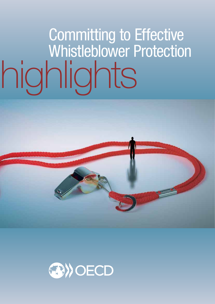# highlights Committing to Effective Whistleblower Protection

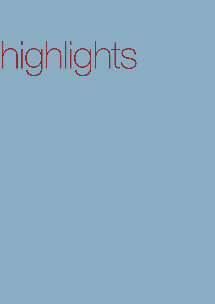# highlights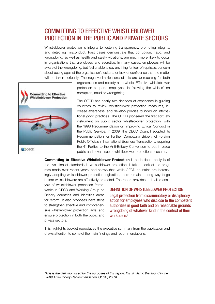# COMMITTING TO FFFFCTIVE WHISTLEBLOWER PROTECTION IN THE PUBLIC AND PRIVATE SECTORS

Whistleblower protection is integral to fostering transparency, promoting integrity, and detecting misconduct. Past cases demonstrate that corruption, fraud, and wrongdoing, as well as health and safety violations, are much more likely to occur in organisations that are closed and secretive. In many cases, employees will be aware of the wrongdoing, but feel unable to say anything for fear of reprisals, concern about acting against the organisation's culture, or lack of confidence that the matter will be taken seriously. The negative implications of this are far-reaching for both



organisations and society as a whole. Effective whistleblower protection supports employees in "blowing the whistle" on corruption, fraud or wrongdoing.

The OECD has nearly two decades of experience in guiding countries to review whistleblower protection measures, increase awareness, and develop policies founded on international good practices. The OECD pioneered the first soft law instrument on public sector whistleblower protection, with the 1998 Recommendation on Improving Ethical Conduct in the Public Service. In 2009, the OECD Council adopted its Recommendation for Further Combating Bribery of Foreign Public Officials in International Business Transactions, requiring the 41 Parties to the Anti-Bribery Convention to put in place public and private sector whistleblower protection measures.

Committing to Effective Whistleblower Protection is an in-depth analysis of the evolution of standards in whistleblower protection. It takes stock of the progress made over recent years, and shows that, while OECD countries are increasingly adopting whistleblower protection legislation, there remains a long way to go before whistleblowers are effectively protected. The report provides a detailed anal-

ysis of whistleblower protection frameworks in OECD and Working Group on Bribery countries and identifies areas for reform. It also proposes next steps to strengthen effective and comprehensive whistleblower protection laws, and ensure protection in both the public and private sectors.

#### DEFINITION OF WHISTLEBLOWER PROTECTION

Legal protection from discriminatory or disciplinary action for employees who disclose to the competent authorities in good faith and on reasonable grounds wrongdoing of whatever kind in the context of their workplace.\*

This highlights booklet reproduces the executive summary from the publication and draws attention to some of the main findings and recommendations.

*\*This is the definition used for the purposes of this report. It is similar to that found in the 2009 Anti-Bribery Recommendation (OECD, 2009)*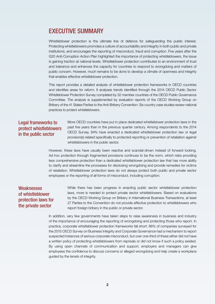# EXECUTIVE SUMMARY

Whistleblower protection is the ultimate line of defence for safeguarding the public interest. Protecting whistleblowers promotes a culture of accountability and integrity in both public and private institutions, and encourages the reporting of misconduct, fraud and corruption. Five years after the G20 Anti-Corruption Action Plan highlighted the importance of protecting whistleblowers, the issue is gaining traction at national levels. Whistleblower protection contributes to an environment of trust and tolerance and enhances the capacity for countries to respond to wrongdoing and matters of public concern. However, much remains to be done to develop a climate of openness and integrity that enables effective whistleblower protection.

This report provides a detailed analysis of whistleblower protection frameworks in OECD countries and identifies areas for reform. It analyses trends identified through the 2014 OECD Public Sector Whistleblower Protection Survey completed by 32 member countries of the OECD Public Governance Committee. The analysis is supplemented by evaluation reports of the OECD Working Group on Bribery of the 41 States Parties to the Anti-Bribery Convention. Six country case studies review national practices to protect whistleblowers.

#### Legal frameworks to protect whistleblowers in the public sector

More OECD countries have put in place dedicated whistleblower protection laws in the past five years than in the previous quarter century. Among respondents to the 2014 OECD Survey, 84% have enacted a dedicated whistleblower protection law or legal provision(s) related specifically to protected reporting or prevention of retaliation against whistleblowers in the public sector.

However, these laws have usually been reactive and scandal-driven instead of forward looking. Ad hoc protection through fragmented provisions continues to be the norm, which risks providing less comprehensive protection than a dedicated whistleblower protection law that has more ability to clarify and streamline the processes for disclosing wrongdoing and provide remedies for victims of retaliation. Whistleblower protection laws do not always protect both public and private sector employees or the reporting of all forms of misconduct, including corruption.

#### **Weaknesses** of whistleblower protection laws for the private sector

While there has been progress in enacting public sector whistleblower protection laws, more is needed to protect private sector whistleblowers. Based on evaluations by the OECD Working Group on Bribery in International Business Transactions, at least 27 Parties to the Convention do not provide effective protection to whistleblowers who report foreign bribery in the public or private sector.

In addition, very few governments have taken steps to raise awareness in business and industry of the importance of encouraging the reporting of wrongdoing and protecting those who report. In practice, corporate whistleblower protection frameworks fall short: 86% of companies surveyed for the 2015 OECD Survey on Business Integrity and Corporate Governance had a mechanism to report suspected instances of serious corporate misconduct, but over one-third of these either did not have a written policy of protecting whistleblowers from reprisals or did not know if such a policy existed. By using open channels of communication and support, employers and managers can give employees the confidence to discuss concerns or alleged wrongdoing and help create a workplace guided by the tenets of integrity.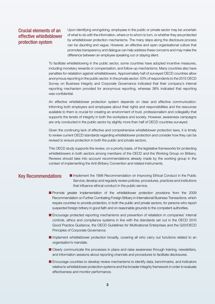#### Crucial elements of an effective whistleblower protection system

Upon identifying wrongdoing, employees in the public or private sector may be uncertain of what to do with the information, where or to whom to turn, or whether they are protected by whistleblower protection mechanisms. The many steps along the disclosure process can be daunting and vague. However, an effective and open organisational culture that promotes transparency and dialogue can help address these concerns and may make the difference between an employee speaking out or staying silent.

To facilitate whistleblowing in the public sector, some countries have adopted incentive measures, including monetary rewards or compensation, and follow-up mechanisms. Many countries also have penalties for retaliation against whistleblowers. Approximately half of surveyed OECD countries allow anonymous reporting in the public sector. In the private sector: 53% of respondents to the 2015 OECD Survey on Business Integrity and Corporate Governance indicated that their company's internal reporting mechanism provided for anonymous reporting, whereas 38% indicated that reporting was confidential.

An effective whistleblower protection system depends on clear and effective communication. Informing both employers and employees about their rights and responsibilities and the resources available to them is crucial for creating an environment of trust, professionalism and collegiality that supports the tenets of integrity in both the workplace and society. However, awareness campaigns are only conducted in the public sector by slightly more than half of OECD countries surveyed.

Given the continuing lack of effective and comprehensive whistleblower protection laws, it is timely to review current OECD standards regarding whistleblower protection and consider how they can be revised to ensure protection in both the public and private sectors.

This OECD study supports the review, on a priority basis, of the legislative frameworks for protecting whistleblowers in both sectors among members of the OECD and the Working Group on Bribery. Reviews should take into account recommendations already made by the working group in the context of implementing the Anti-Bribery Convention and related instruments.

- Key Recommendations **I**I Implement the 1998 Recommendation on Improving Ethical Conduct in the Public Service; develop and regularly review policies, procedures, practices and institutions that influence ethical conduct in the public service.
	- **n** Promote greater implementation of the whistleblower protection provisions from the 2009 Recommendation on Further Combating Foreign Bribery in International Business Transactions, which require countries to provide protection, in both the public and private sectors, for persons who report suspected foreign bribery in good faith and on reasonable grounds to the competent authorities.
	- **Encourage protected reporting mechanisms and prevention of retaliation in companies' internal** controls, ethics and compliance systems in line with the standards set out in the OECD 2010 Good Practice Guidance, the OECD Guidelines for Multinational Enterprises and the G20/OECD Principles of Corporate Governance.
	- **n** Implement whistleblower protection broadly, covering all who carry out functions related to an organisation's mandate.
	- **n** Clearly communicate the processes in place and raise awareness through training, newsletters, and information sessions about reporting channels and procedures to facilitate disclosures.
	- **n** Encourage countries to develop review mechanisms to identify data, benchmarks, and indicators relative to whistleblower protection systems and the broader integrity framework in order to evaluate effectiveness and monitor performance.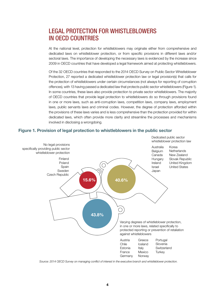# **LEGAL PROTECTION FOR WHISTLEBLOWERS** IN OECD COUNTRIES

At the national level, protection for whistleblowers may originate either from comprehensive and dedicated laws on whistleblower protection, or from specific provisions in different laws and/or sectoral laws. The importance of developing the necessary laws is evidenced by the increase since 2009 in OECD countries that have developed a legal framework aimed at protecting whistleblowers.

Of the 32 OECD countries that responded to the 2014 OECD Survey on Public Sector Whistleblower Protection, 27 reported a dedicated whistleblower protection law or legal provision(s) that calls for the protection of whistleblowers under certain circumstances (not always for reporting of corruption offences), with 13 having passed a dedicated law that protects public sector whistleblowers (Figure 1). In some countries, these laws also provide protection to private sector whistleblowers. The majority of OECD countries that provide legal protection to whistleblowers do so through provisions found in one or more laws, such as anti-corruption laws, competition laws, company laws, employment laws, public servants laws and criminal codes. However, the degree of protection afforded within the provisions of these laws varies and is less comprehensive than the protection provided for within dedicated laws, which often provide more clarity and streamline the processes and mechanisms involved in disclosing a wrongdoing.

#### Figure 1. Provision of legal protection to whistleblowers in the public sector



Source: 2014 OECD Survey on managing conflict of interest in the executive branch and whistleblower protection.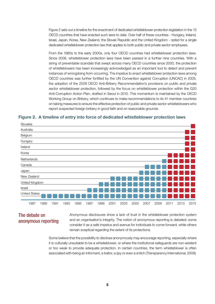Figure 2 sets out a timeline for the enactment of dedicated whistleblower protection legislation in the 13 OECD countries that have enacted such laws to date. Over half of these countries - Hungary, Ireland, Israel, Japan, Korea, New Zealand, the Slovak Republic and the United Kingdom - opted for a single dedicated whistleblower protection law that applies to both public and private sector employees.

From the 1980s to the early 2000s, only four OECD countries had whistleblower protection laws. Since 2006, whistleblower protection laws have been passed in a further nine countries. With a string of preventable scandals that swept across many OECD countries since 2000, the protection of whistleblowers has been increasingly acknowledged as an important tool to detect and prevent instances of wrongdoing from occurring. The impetus to enact whistleblower protection laws among OECD countries was further fortified by the UN Convention against Corruption (UNCAC) in 2005, the adoption of the 2009 OECD Anti-Bribery Recommendation's provisions on public and private sector whistleblower protection, followed by the focus on whistleblower protection within the G20 Anti-Corruption Action Plan, drafted in Seoul in 2010. This momentum is maintained by the OECD Working Group on Bribery, which continues to make recommendations to its 41 member countries on taking measures to ensure the effective protection of public and private sector whistleblowers who report suspected foreign bribery in good faith and on reasonable grounds.

Figure 2. A timeline of entry into force of dedicated whistleblower protection laws



#### The debate on anonymous reporting

Anonymous disclosures show a lack of trust in the whistleblower protection system and an organisation's integrity. The notion of anonymous reporting is debated; some consider it as a safe impetus and avenue for individuals to come forward, while others remain sceptical regarding the extent of its protections.

Some believe that the possibility to disclose anonymously may encourage reporting, especially where it is culturally unsuitable to be a whistleblower, or where the institutional safeguards are non-existent or too weak to provide adequate protection. In certain countries, the term whistleblower is often associated with being an informant, a traitor, a spy or even a snitch (Transparency International, 2009).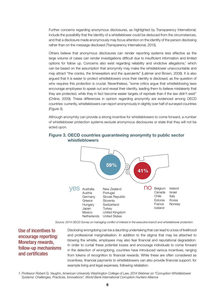Further concerns regarding anonymous disclosures, as highlighted by Transparency International, include the possibility that the identity of a whistleblower could be deduced from the circumstances, and that a disclosure made anonymously may focus attention on the identity of the person disclosing rather than on the message disclosed (Transparency International, 2013).

Others believe that anonymous disclosures can render reporting systems less effective as the large volume of cases can render investigations difficult due to insufficient information and limited options for follow up. Concerns also exist regarding reliability and vindictive allegations,<sup>1</sup> which can be based on the assumption that anonymity may make the whistleblower unaccountable and may attract "the cranks, the timewasters and the querulents" (Latimer and Brown, 2008). It is also argued that it is easier to protect whistleblowers once their identity is disclosed, as the question of who requires this protection is crucial. Nevertheless, "some critics argue that whistleblowing laws encourage employees to speak out and reveal their identity, leading them to believe mistakenly that they are protected, while they in fact become easier targets of reprisals than if the law didn't exist" (Chêne, 2009). These differences in opinion regarding anonymity are evidenced among OECD countries: currently, whistleblowers can report anonymously in slightly over half of surveyed countries (Figure 3).

Although anonymity can provide a strong incentive for whistleblowers to come forward, a number of whistleblower protection systems exclude anonymous disclosures or state that they will not be acted upon.



#### Figure 3. OECD countries guaranteeing anonymity to public sector whistleblowers

Source: 2014 OECD Survey on managing conflict of interest in the executive branch and whistleblower protection.

#### Use of incentives to encourage reporting: Monetary rewards, follow-up mechanisms and certificates

Disclosing wrongdoing can be a daunting undertaking that can lead to a loss of livelihood and professional marginalisation. In addition to the stigma that may be attached to blowing the whistle, employees may also fear financial and reputational degradation. In order to curtail these potential losses and encourage individuals to come forward in the detection of wrongdoing, countries have introduced various incentives, ranging from tokens of recognition to financial rewards. While these are often considered as incentives, financial payments to whistleblowers can also provide financial support, for example living and legal expenses, following retaliation.

*1. Professor Robert G. Vaughn, American University Washington College of Law, 2014 Webinar on "Corruption Whistleblower Systems: Challenges, Practices, Innovations", World Bank International Corruption Hunters Alliance*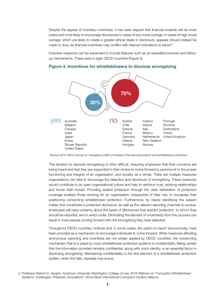Despite the appeal of monetary incentives, it has been argued that financial rewards will be most useful and most likely to encourage disclosures in cases of low moral outrage. In cases of high moral outrage, which are likely to create a greater ethical stake in disclosure, appeals should instead be made to duty, as financial incentives may conflict with internal motivations to report.<sup>2</sup>

Incentive measures can be expanded to include features such as an expedited process and followup mechanisms. These exist in eight OECD countries (Figure 4).



#### Figure 4. Incentives for whistleblowers to disclose wrongdoing

Source: 2014 OECD Survey on managing conflict of interest in the executive branch and whistleblower protection.

The decision to disclose wrongdoing is often difficult. Assuring employees that their concerns are being heard and that they are supported in their choice to come forward is paramount to the proper functioning and integrity of an organisation, and society, as a whole. There are multiple measures organisations can take to encourage the detection and disclosure of wrongdoing. These measures would contribute to an open organisational culture and help to reinforce trust, working relationships and boost staff morale. Providing explicit protection through the clear delineation of protection coverage enables those working for an organisation, irrespective of their role, to recognise their positioning concerning whistleblower protection. Furthermore, by clearly identifying the subject matter that constitutes a protected disclosure, as well as the relevant reporting channels to pursue, employees will have certainty about the types of disclosures that warrant protection, to whom they should be reported, and in which order. Eliminating the element of uncertainty from this process can result in more people coming forward with the wrongdoing they have detected.

Throughout OECD countries, hotlines and, in some cases, the option to report anonymously, have been provided as a mechanism to encourage individuals to come forward. While measures affording anonymous reporting and incentives are not widely applied by OECD countries, the overarching mechanism that is in place by most whistleblower protection systems is confidentiality. Being certain that the information provided remains confidential, along with one's identity, is an essential factor in disclosing wrongdoing. Maintaining confidentiality is the first element of a whistleblower protection system, when this fails, reprisals may ensue.

*<sup>2.</sup> Professor Robert G. Vaughn, American University Washington College of Law, 2014 Webinar on "Corruption Whistleblower Systems: Challenges, Practices, Innovations", World Bank International Corruption Hunters Alliance*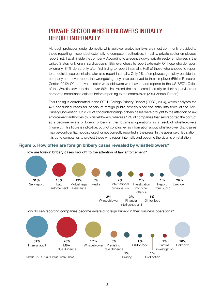# PRIVATE SECTOR WHISTLEBLOWERS INITIALLY REPORT INTERNALLY

Although protection under domestic whistleblower protection laws are most commonly provided to those reporting misconduct externally to competent authorities, in reality, private sector employees report first, if at all, inside the company. According to a recent study of private sector employees in the United States, only one in six disclosers (18%) ever chose to report externally. Of those who do report externally, 84% do so only after first trying to report internally. Half of those who choose to report to an outside source initially, later also report internally. Only 2% of employees go solely outside the company and never report the wrongdoing they have observed to their employer (Ethics Resource Center, 2012). Of the private sector whistleblowers who have made reports to the US SEC's Office of the Whistleblower to date, over 80% first raised their concerns internally to their supervisors or corporate compliance officers before reporting to the commission (2014 Annual Report).

This finding is corroborated in the OECD Foreign Bribery Report (OECD, 2014), which analyses the 427 concluded cases for bribery of foreign public officials since the entry into force of the Anti-Bribery Convention. Only 2% of concluded foreign bribery cases were brought to the attention of law enforcement authorities by whistleblowers, whereas 17% of companies that self-reported the corrupt acts became aware of foreign bribery in their business operations as a result of whistleblowers (Figure 5). This figure is indicative, but not conclusive, as information about whistleblower disclosures may be confidential, not disclosed, or not correctly reported in the press. In the absence of legislation, it is up to companies to protect those who report internally and become the victims of retaliation.

#### Figure 5. How often are foreign bribery cases revealed by whistleblowers?



#### How are foreign bribery cases brought to the attention of law enforcement?

How do self-reporting companies become aware of foreign bribery in their business operations?

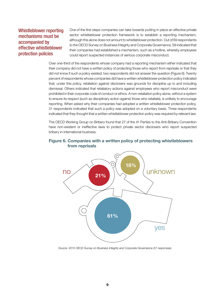#### Whistleblower reporting mechanisms must be accompanied by effective whistleblower protection policies

One of the first steps companies can take towards putting in place an effective private sector whistleblower protection framework is to establish a reporting mechanism, although this alone does not amount to whistleblower protection. Out of 69 respondents to the OECD Survey on Business Integrity and Corporate Governance, 59 indicated that their companies had established a mechanism, such as a hotline, whereby employees could report suspected instances of serious corporate misconduct.

Over one-third of the respondents whose company had a reporting mechanism either indicated that their company did not have a written policy of protecting those who report from reprisals or that they did not know if such a policy existed; two respondents did not answer the question (Figure 6). Twenty percent of respondents whose companies did have a written whistleblower protection policy indicated that, under this policy, retaliation against disclosers was grounds for discipline up to and including dismissal. Others indicated that retaliatory actions against employees who report misconduct were prohibited in their corporate code of conduct or ethics. A non-retaliation policy alone, without a system to ensure its respect (such as disciplinary action against those who retaliate), is unlikely to encourage reporting. When asked why their companies had adopted a written whistleblower protection policy, 31 respondents indicated that such a policy was adopted on a voluntary basis. Three respondents indicated that they thought that a written whistleblower protection policy was required by relevant law.

The OECD Working Group on Bribery found that 27 of the 41 Parties to the Anti-Bribery Convention have non-existent or ineffective laws to protect private sector disclosers who report suspected bribery in international business.



#### Figure 6. Companies with a written policy of protecting whistleblowers from reprisals

*Source: 2015 OECD Survey on Business Integrity and Corporate Governance (57 responses).*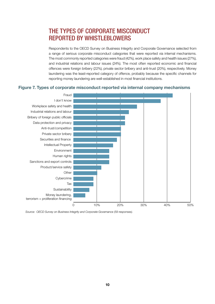# THE TYPES OF CORPORATE MISCONDUCT REPORTED BY WHISTLEBLOWERS

Respondents to the OECD Survey on Business Integrity and Corporate Governance selected from a range of serious corporate misconduct categories that were reported via internal mechanisms. The most commonly reported categories were fraud (42%), work place safety and health issues (27%), and industrial relations and labour issues (24%). The most often reported economic and financial offences were foreign bribery (22%), private sector bribery and anti-trust (20%), respectively. Money laundering was the least-reported category of offence, probably because the specific channels for reporting money laundering are well-established in most financial institutions.

#### Figure 7. Types of corporate misconduct reported via internal company mechanisms



*Source: OECD Survey on Business Integrity and Corporate Governance (59 responses).*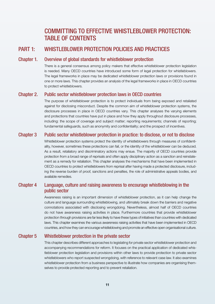# COMMITTING TO EFFECTIVE WHISTLEBLOWER PROTECTION: TABLE OF CONTENTS

#### PART 1: WHISTLEBLOWER PROTECTION POLICIES AND PRACTICES

#### Chapter 1. Overview of global standards for whistleblower protection

 There is a general consensus among policy makers that effective whistleblower protection legislation is needed. Many OECD countries have introduced some form of legal protection for whistleblowers. The legal frameworks in place may be dedicated whistleblower protection laws or provisions found in one or more laws. This chapter provides an analysis of the legal frameworks in place in OECD countries to protect whistleblowers.

#### Chapter 2. Public sector whistleblower protection laws in OECD countries

The purpose of whistleblower protection is to protect individuals from being exposed and retaliated against for disclosing misconduct. Despite the common aim of whistleblower protection systems, the disclosure processes in place in OECD countries vary. This chapter analyses the varying elements and protections that countries have put in place and how they apply throughout disclosure processes, including: the scope of coverage and subject matter; reporting requirements; channels of reporting; fundamental safeguards, such as anonymity and confidentiality; and the prospect of incentives.

#### Chapter 3 Public sector whistleblower protection in practice: to disclose, or not to disclose

Whistleblower protection systems protect the identity of whistleblowers through measures of confidentiality, however, sometimes these protections can fail, or the identity of the whistleblower can be deduced. As a result, retaliatory and discriminatory actions may ensue. The majority of OECD countries provide protection from a broad range of reprisals and often apply disciplinary action as a sanction and reinstatement as a remedy for retaliation. This chapter analyses the mechanisms that have been implemented in OECD countries to protect whistleblowers from reprisal after having made a protected disclosure, including the reverse burden of proof, sanctions and penalties, the role of administrative appeals bodies, and available remedies.

#### Chapter 4 Language, culture and raising awareness to encourage whistleblowing in the public sector

Awareness raising is an important dimension of whistleblower protection, as it can help change the culture and language surrounding whistleblowing, and ultimately break down the barriers and negative connotations associated with disclosing wrongdoing. Nevertheless, almost half of OECD countries do not have awareness raising activities in place. Furthermore countries that provide whistleblower protection through provisions are far less likely to have these types of initiatives than countries with dedicated laws. This chapter examines the various awareness raising activities that have been implemented in OECD countries, and how they can encourage whistleblowing and promote an effective open organisational culture.

#### Chapter 5 Whistleblower protection in the private sector

This chapter describes different approaches to legislating for private sector whistleblower protection and accompanying recommendations for reform. It focuses on the practical application of dedicated whistleblower protection legislation and provisions within other laws to provide protection to private sector whistleblowers who report suspected wrongdoing, with reference to relevant case law. It also examines whistleblower protection from a business perspective to illustrate how companies are organising themselves to provide protected reporting and to prevent retaliation.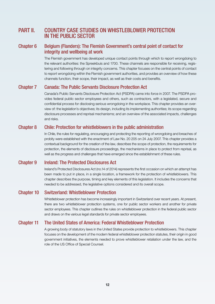### PART II. COUNTRY CASE STUDIES ON WHISTLEBLOWER PROTECTION IN THE PUBLIC SECTOR

#### Chapter 6 Belgium (Flanders): The Flemish Government's central point of contact for integrity and wellbeing at work

The Flemish government has developed unique contact points through which to report wrongdoing to the relevant authorities: the Spreekbuis and 1700. These channels are responsible for receiving, registering and following through on integrity concerns. This chapter focuses on the central points of contact to report wrongdoing within the Flemish government authorities, and provides an overview of how these channels function, their scope, their impact, as well as their costs and benefits.

#### Chapter 7 Canada: The Public Servants Disclosure Protection Act

Canada's Public Servants Disclosure Protection Act (PSDPA) came into force in 2007. The PSDPA provides federal public sector employees and others, such as contractors, with a legislated, secure and confidential process for disclosing serious wrongdoing in the workplace. This chapter provides an overview of: the legislation's objectives; its design, including its implementing authorities; its scope regarding disclosure processes and reprisal mechanisms; and an overview of the associated impacts, challenges and risks.

#### Chapter 8 Chile: Protection for whistleblowers in the public administration

In Chile, the rules for regulating, encouraging and protecting the reporting of wrongdoing and breaches of probity were established with the enactment of Law No. 20 205 on 24 July 2007. This chapter provides a contextual background for the creation of the law, describes the scope of protection, the requirements for protection, the elements of disclosure proceedings, the mechanisms in place to protect from reprisal, as well as the progress and challenges that have emerged since the establishment of these rules.

#### Chapter 9 Ireland: The Protected Disclosures Act

Ireland's Protected Disclosures Act (no.14 of 2014) represents the first occasion on which an attempt has been made to put in place, in a single location, a framework for the protection of whistleblowers. This chapter describes the purpose, timing and key elements of this legislation. It includes the concerns that needed to be addressed, the legislative options considered and its overall scope.

#### Chapter 10 Switzerland: Whistleblower Protection

Whistleblower protection has become increasingly important in Switzerland over recent years. At present, there are two whistleblower protection systems, one for public sector workers and another for private sector employees. This chapter outlines the rules on whistleblower protection in the federal public sector and draws on the various legal standards for private sector employees.

#### Chapter 11 The United States of America: Federal Whistleblower Protection

A growing body of statutory laws in the United States provide protection to whistleblowers. This chapter focuses on the development of the modern federal whistleblower protection statutes, their origin in good government initiatives, the elements needed to prove whistleblower retaliation under the law, and the role of the US Office of Special Counsel.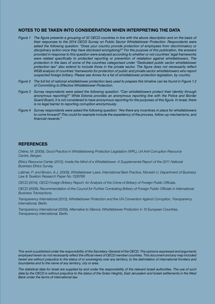#### NOTES TO BE TAKEN INTO CONSIDERATION WHEN INTERPRETING THE DATA

- *Figure 1* The figure presents a grouping of 32 OECD countries in line with the above description and on the basis of *their responses to the 2014 OECD Survey on Public Sector Whistleblower Protection. Respondents were asked the following question: "Does your country provide protection of employees from discriminatory or disciplinary action once they have disclosed wrongdoing?" For the purpose of this publication, the answers provided in response to this question were analysed according to whether or not countries' legal frameworks were related specifically to protected reporting or prevention of retaliation against whistleblowers. The protection in the laws of some of the countries categorised under "Dedicated public sector whistleblower protection law" also extend to include those in the private sector. The figure does not necessarily reflect WGB analysis of countries' frameworks for protection of public and private sector whistleblowers who report suspected foreign bribery. Please see Annex for a list of whistleblower protection legislation, by country.*
- *Figure 2 The full list of national whistleblower protection laws used to prepare this timeline can be found in Figure 1.2 of Committing to Effective Whistleblower Protection.*
- *Figure 3 Survey respondents were asked the following question: "Can whistleblowers protect their identity through anonymous reporting?" While Estonia provides an anonymous reporting line with the Police and Border Guard Board, it is not considered to have anonymous reporting for the purposes of this figure. In Israel, there is no legal barrier to reporting corruption anonymously.*
- *Figure 4 Survey respondents were asked the following question: "Are there any incentives in place for whistleblowers to come forward? This could for example include the expediency of the process, follow-up mechanisms, and financial rewards."*

#### **REFERENCES**

*Chêne, M. (2009), Good Practice in Whistleblowing Protection Legislation (WPL), U4 Anti-Corruption Resource Centre, Bergen.* 

*Ethics Resource Center (2012), Inside the Mind of a Whistleblower: A Supplemental Report of the 2011 National Business Ethics Survey.*

*Latimer, P. and Brown, A.J. (2008), Whistleblower Laws: International Best Practice, Monash U. Department of Business Law & Taxation Research Paper No. 1326766*

*OECD (2014), OECD Foreign Bribery Report: An Analysis of the Crime of Bribery of Foreign Public Officials.* 

*OECD (2009), Recommendation of the Council for Further Combating Bribery of Foreign Public Officials in international Business Transactions.* 

*Transparency International (2013), Whistleblower Protection and the UN Convention Against Corruption, Transparency International, Berlin.* 

*Transparency International (2009), Alternative to Silence: Whistleblower Protection in 10 European Countries, Transparency International, Berlin.* 

*This work is published under the responsibility of the Secretary-General of the OECD. The opinions expressed and arguments employed herein do not necessarily reflect the official views of OECD member countries. This document and any map included herein are without prejudice to the status of or sovereignty over any territory, to the delimitation of international frontiers and boundaries and to the name of any territory, city or area.*

*The statistical data for Israel are supplied by and under the responsibility of the relevant Israeli authorities. The use of such data by the OECD is without prejudice to the status of the Golan Heights, East Jerusalem and Israeli settlements in the West Bank under the terms of international law.*